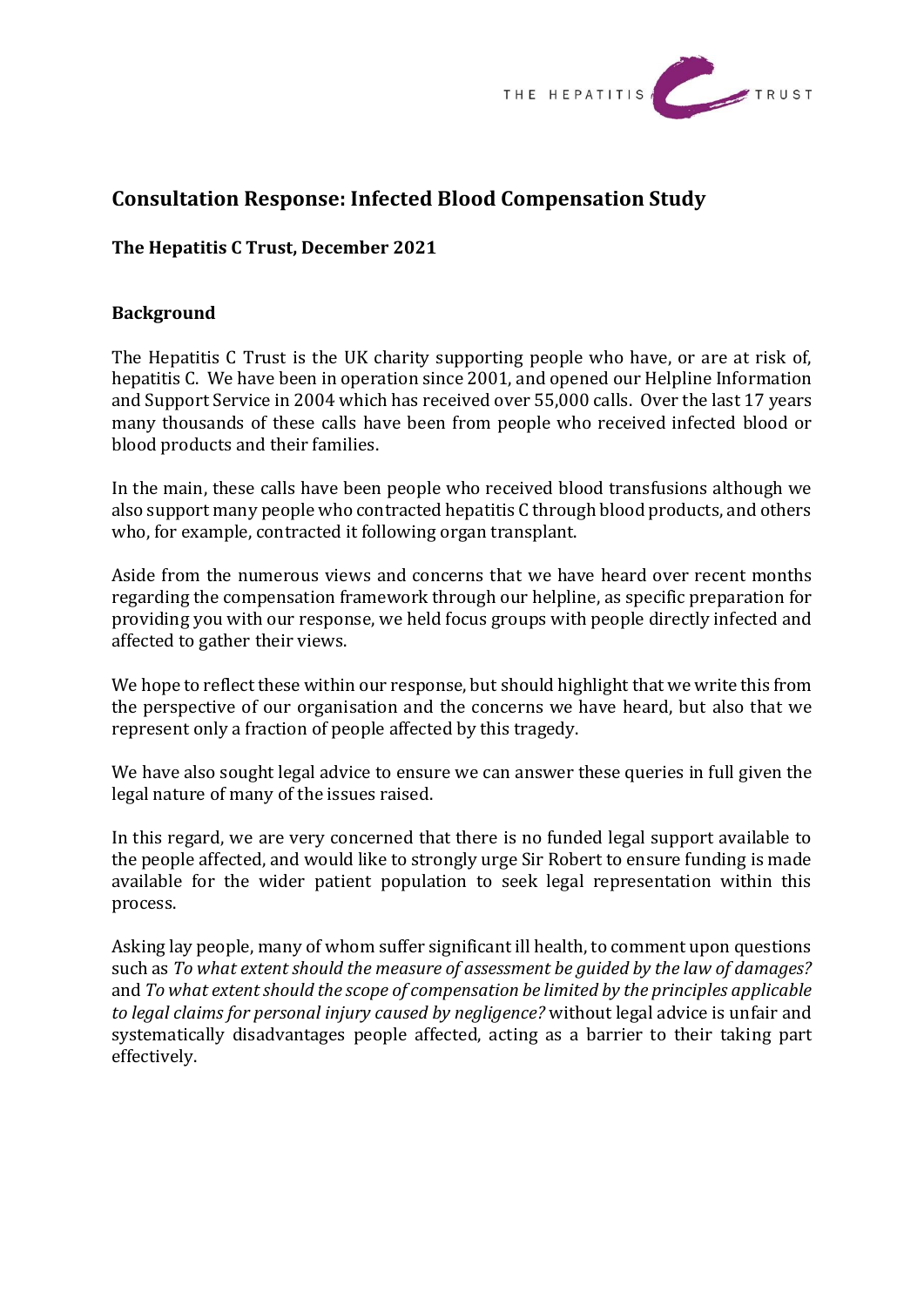

# **Consultation Response: Infected Blood Compensation Study**

# **The Hepatitis C Trust, December 2021**

## **Background**

The Hepatitis C Trust is the UK charity supporting people who have, or are at risk of, hepatitis C. We have been in operation since 2001, and opened our Helpline Information and Support Service in 2004 which has received over 55,000 calls. Over the last 17 years many thousands of these calls have been from people who received infected blood or blood products and their families.

In the main, these calls have been people who received blood transfusions although we also support many people who contracted hepatitis C through blood products, and others who, for example, contracted it following organ transplant.

Aside from the numerous views and concerns that we have heard over recent months regarding the compensation framework through our helpline, as specific preparation for providing you with our response, we held focus groups with people directly infected and affected to gather their views.

We hope to reflect these within our response, but should highlight that we write this from the perspective of our organisation and the concerns we have heard, but also that we represent only a fraction of people affected by this tragedy.

We have also sought legal advice to ensure we can answer these queries in full given the legal nature of many of the issues raised.

In this regard, we are very concerned that there is no funded legal support available to the people affected, and would like to strongly urge Sir Robert to ensure funding is made available for the wider patient population to seek legal representation within this process.

Asking lay people, many of whom suffer significant ill health, to comment upon questions such as *To what extent should the measure of assessment be guided by the law of damages?* and *To what extent should the scope of compensation be limited by the principles applicable to legal claims for personal injury caused by negligence?* without legal advice is unfair and systematically disadvantages people affected, acting as a barrier to their taking part effectively.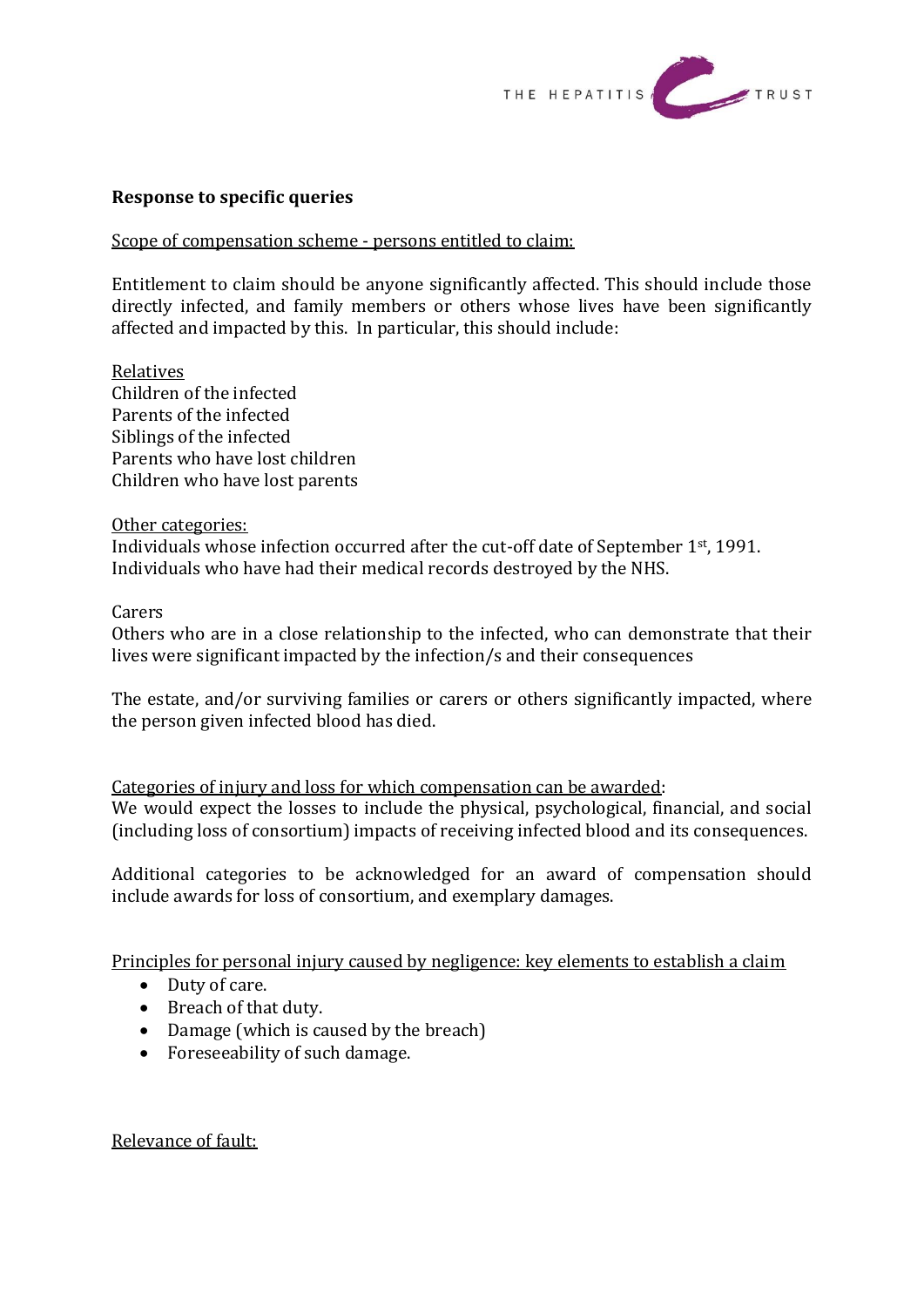

# **Response to specific queries**

Scope of compensation scheme - persons entitled to claim:

Entitlement to claim should be anyone significantly affected. This should include those directly infected, and family members or others whose lives have been significantly affected and impacted by this. In particular, this should include:

Relatives Children of the infected Parents of the infected Siblings of the infected Parents who have lost children Children who have lost parents

Other categories:

Individuals whose infection occurred after the cut-off date of September 1st, 1991. Individuals who have had their medical records destroyed by the NHS.

Carers

Others who are in a close relationship to the infected, who can demonstrate that their lives were significant impacted by the infection/s and their consequences

The estate, and/or surviving families or carers or others significantly impacted, where the person given infected blood has died.

Categories of injury and loss for which compensation can be awarded:

We would expect the losses to include the physical, psychological, financial, and social (including loss of consortium) impacts of receiving infected blood and its consequences.

Additional categories to be acknowledged for an award of compensation should include awards for loss of consortium, and exemplary damages.

Principles for personal injury caused by negligence: key elements to establish a claim

- Duty of care.
- Breach of that duty.
- Damage (which is caused by the breach)
- Foreseeability of such damage.

Relevance of fault: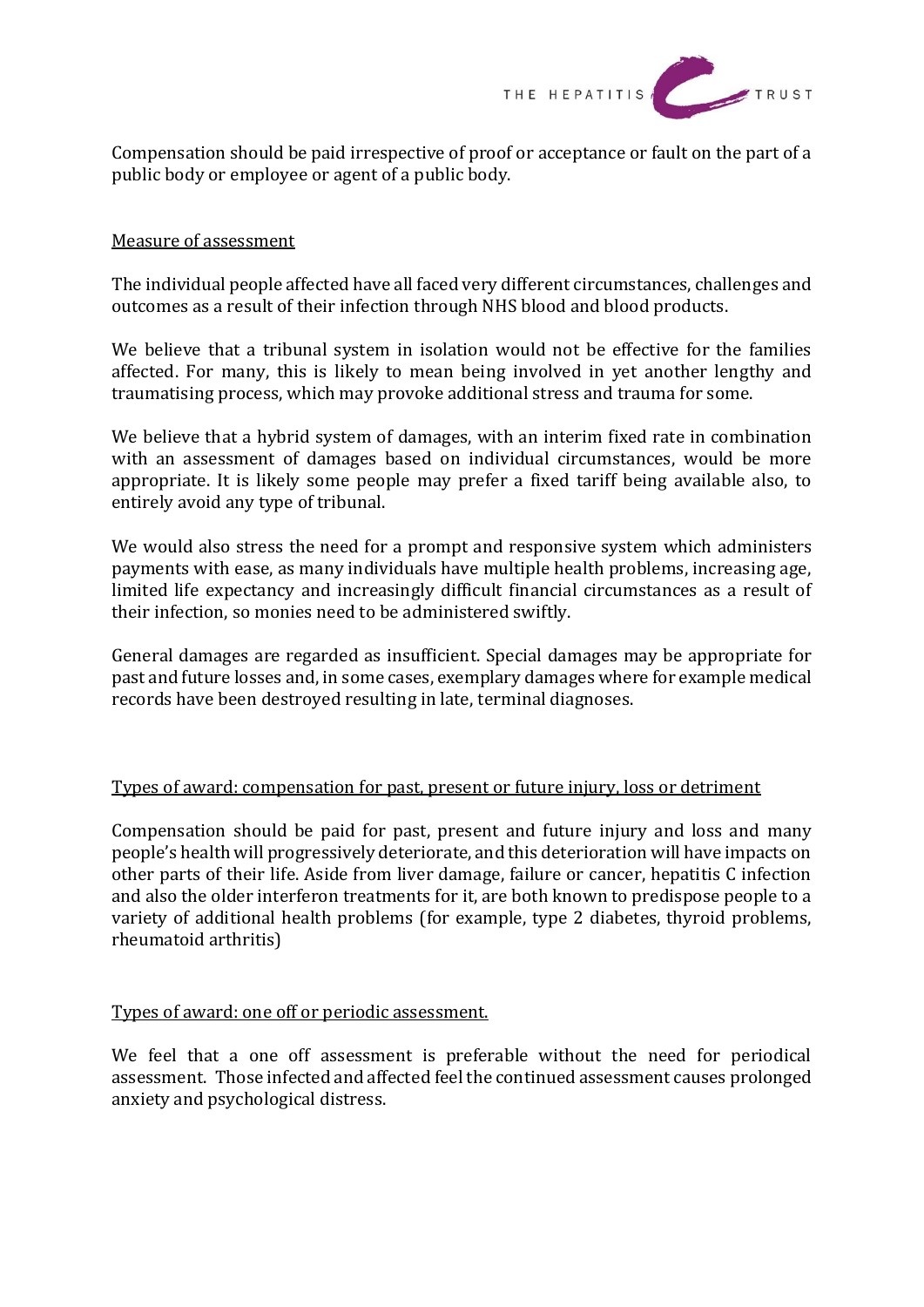

Compensation should be paid irrespective of proof or acceptance or fault on the part of a public body or employee or agent of a public body.

## Measure of assessment

The individual people affected have all faced very different circumstances, challenges and outcomes as a result of their infection through NHS blood and blood products.

We believe that a tribunal system in isolation would not be effective for the families affected. For many, this is likely to mean being involved in yet another lengthy and traumatising process, which may provoke additional stress and trauma for some.

We believe that a hybrid system of damages, with an interim fixed rate in combination with an assessment of damages based on individual circumstances, would be more appropriate. It is likely some people may prefer a fixed tariff being available also, to entirely avoid any type of tribunal.

We would also stress the need for a prompt and responsive system which administers payments with ease, as many individuals have multiple health problems, increasing age, limited life expectancy and increasingly difficult financial circumstances as a result of their infection, so monies need to be administered swiftly.

General damages are regarded as insufficient. Special damages may be appropriate for past and future losses and, in some cases, exemplary damages where for example medical records have been destroyed resulting in late, terminal diagnoses.

#### Types of award: compensation for past, present or future injury, loss or detriment

Compensation should be paid for past, present and future injury and loss and many people's health will progressively deteriorate, and this deterioration will have impacts on other parts of their life. Aside from liver damage, failure or cancer, hepatitis C infection and also the older interferon treatments for it, are both known to predispose people to a variety of additional health problems (for example, type 2 diabetes, thyroid problems, rheumatoid arthritis)

#### Types of award: one off or periodic assessment.

We feel that a one off assessment is preferable without the need for periodical assessment. Those infected and affected feel the continued assessment causes prolonged anxiety and psychological distress.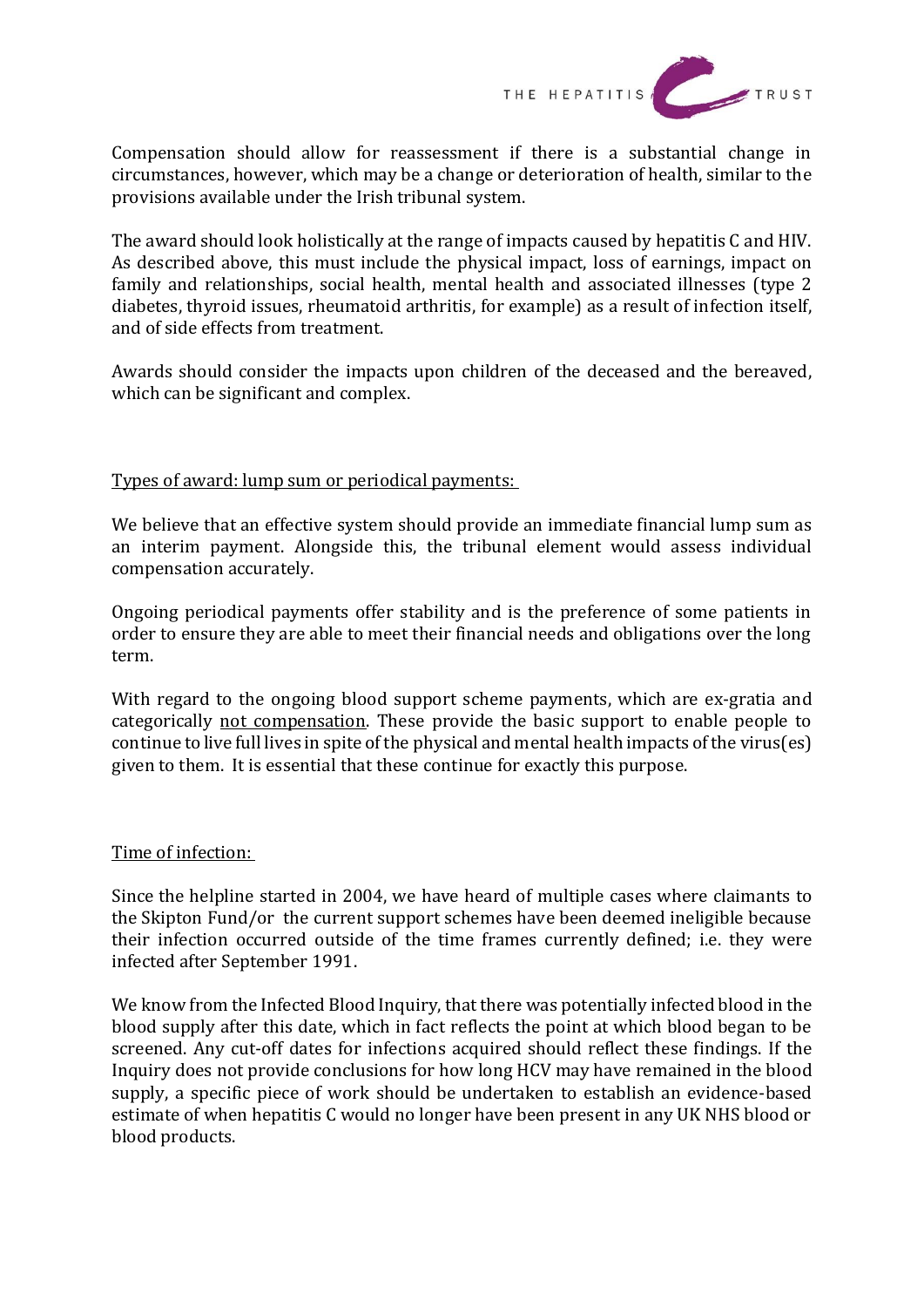

Compensation should allow for reassessment if there is a substantial change in circumstances, however, which may be a change or deterioration of health, similar to the provisions available under the Irish tribunal system.

The award should look holistically at the range of impacts caused by hepatitis C and HIV. As described above, this must include the physical impact, loss of earnings, impact on family and relationships, social health, mental health and associated illnesses (type 2 diabetes, thyroid issues, rheumatoid arthritis, for example) as a result of infection itself, and of side effects from treatment.

Awards should consider the impacts upon children of the deceased and the bereaved, which can be significant and complex.

# Types of award: lump sum or periodical payments:

We believe that an effective system should provide an immediate financial lump sum as an interim payment. Alongside this, the tribunal element would assess individual compensation accurately.

Ongoing periodical payments offer stability and is the preference of some patients in order to ensure they are able to meet their financial needs and obligations over the long term.

With regard to the ongoing blood support scheme payments, which are ex-gratia and categorically not compensation. These provide the basic support to enable people to continue to live full lives in spite of the physical and mental health impacts of the virus(es) given to them. It is essential that these continue for exactly this purpose.

# Time of infection:

Since the helpline started in 2004, we have heard of multiple cases where claimants to the Skipton Fund/or the current support schemes have been deemed ineligible because their infection occurred outside of the time frames currently defined; i.e. they were infected after September 1991.

We know from the Infected Blood Inquiry, that there was potentially infected blood in the blood supply after this date, which in fact reflects the point at which blood began to be screened. Any cut-off dates for infections acquired should reflect these findings. If the Inquiry does not provide conclusions for how long HCV may have remained in the blood supply, a specific piece of work should be undertaken to establish an evidence-based estimate of when hepatitis C would no longer have been present in any UK NHS blood or blood products.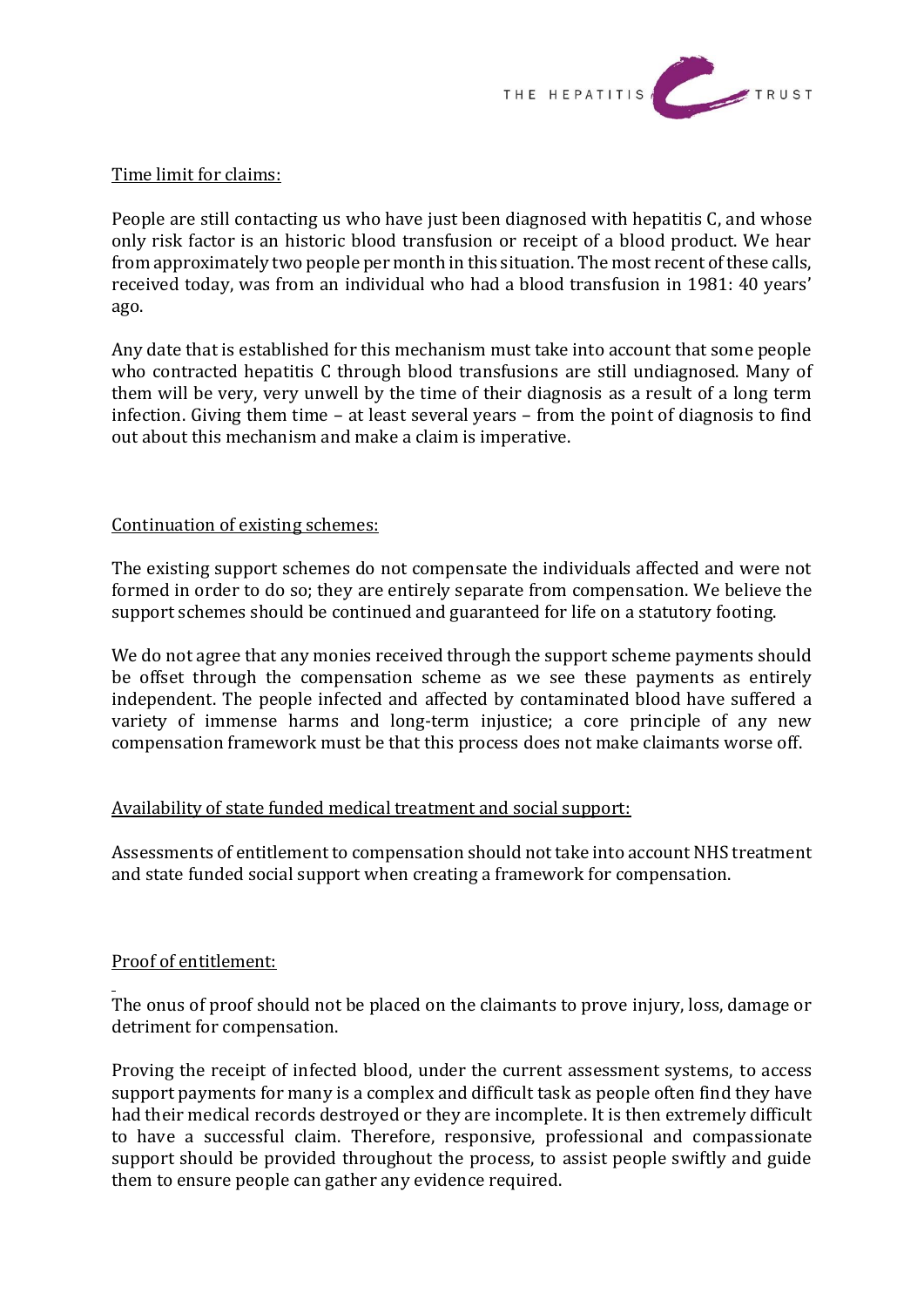

## Time limit for claims:

People are still contacting us who have just been diagnosed with hepatitis C, and whose only risk factor is an historic blood transfusion or receipt of a blood product. We hear from approximately two people per month in this situation. The most recent of these calls, received today, was from an individual who had a blood transfusion in 1981: 40 years' ago.

Any date that is established for this mechanism must take into account that some people who contracted hepatitis C through blood transfusions are still undiagnosed. Many of them will be very, very unwell by the time of their diagnosis as a result of a long term infection. Giving them time – at least several years – from the point of diagnosis to find out about this mechanism and make a claim is imperative.

## Continuation of existing schemes:

The existing support schemes do not compensate the individuals affected and were not formed in order to do so; they are entirely separate from compensation. We believe the support schemes should be continued and guaranteed for life on a statutory footing.

We do not agree that any monies received through the support scheme payments should be offset through the compensation scheme as we see these payments as entirely independent. The people infected and affected by contaminated blood have suffered a variety of immense harms and long-term injustice; a core principle of any new compensation framework must be that this process does not make claimants worse off.

# Availability of state funded medical treatment and social support:

Assessments of entitlement to compensation should not take into account NHS treatment and state funded social support when creating a framework for compensation.

# Proof of entitlement:

The onus of proof should not be placed on the claimants to prove injury, loss, damage or detriment for compensation.

Proving the receipt of infected blood, under the current assessment systems, to access support payments for many is a complex and difficult task as people often find they have had their medical records destroyed or they are incomplete. It is then extremely difficult to have a successful claim. Therefore, responsive, professional and compassionate support should be provided throughout the process, to assist people swiftly and guide them to ensure people can gather any evidence required.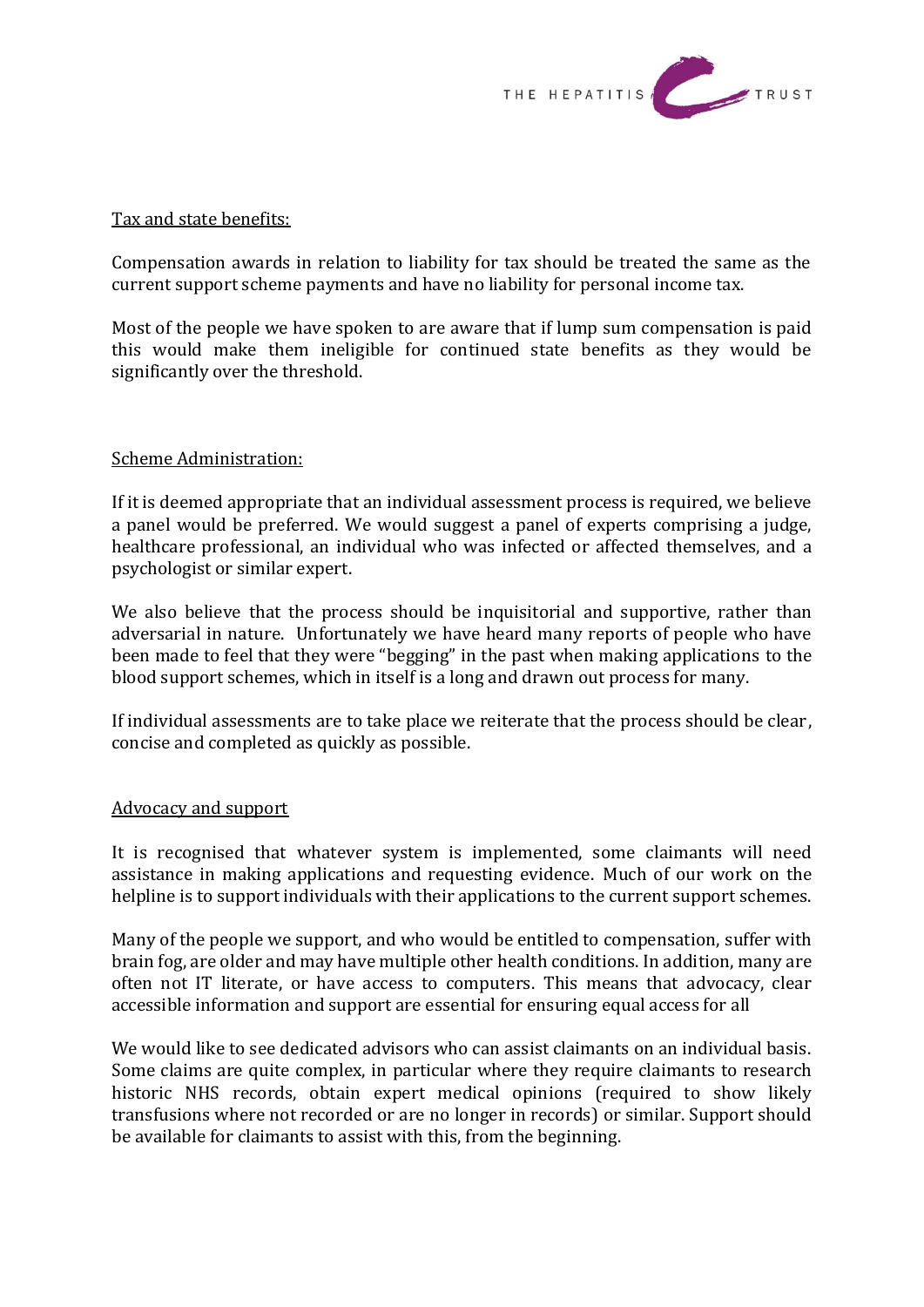

#### Tax and state benefits:

Compensation awards in relation to liability for tax should be treated the same as the current support scheme payments and have no liability for personal income tax.

Most of the people we have spoken to are aware that if lump sum compensation is paid this would make them ineligible for continued state benefits as they would be significantly over the threshold.

# Scheme Administration:

If it is deemed appropriate that an individual assessment process is required, we believe a panel would be preferred. We would suggest a panel of experts comprising a judge, healthcare professional, an individual who was infected or affected themselves, and a psychologist or similar expert.

We also believe that the process should be inquisitorial and supportive, rather than adversarial in nature. Unfortunately we have heard many reports of people who have been made to feel that they were "begging" in the past when making applications to the blood support schemes, which in itself is a long and drawn out process for many.

If individual assessments are to take place we reiterate that the process should be clear, concise and completed as quickly as possible.

#### Advocacy and support

It is recognised that whatever system is implemented, some claimants will need assistance in making applications and requesting evidence. Much of our work on the helpline is to support individuals with their applications to the current support schemes.

Many of the people we support, and who would be entitled to compensation, suffer with brain fog, are older and may have multiple other health conditions. In addition, many are often not IT literate, or have access to computers. This means that advocacy, clear accessible information and support are essential for ensuring equal access for all

We would like to see dedicated advisors who can assist claimants on an individual basis. Some claims are quite complex, in particular where they require claimants to research historic NHS records, obtain expert medical opinions (required to show likely transfusions where not recorded or are no longer in records) or similar. Support should be available for claimants to assist with this, from the beginning.